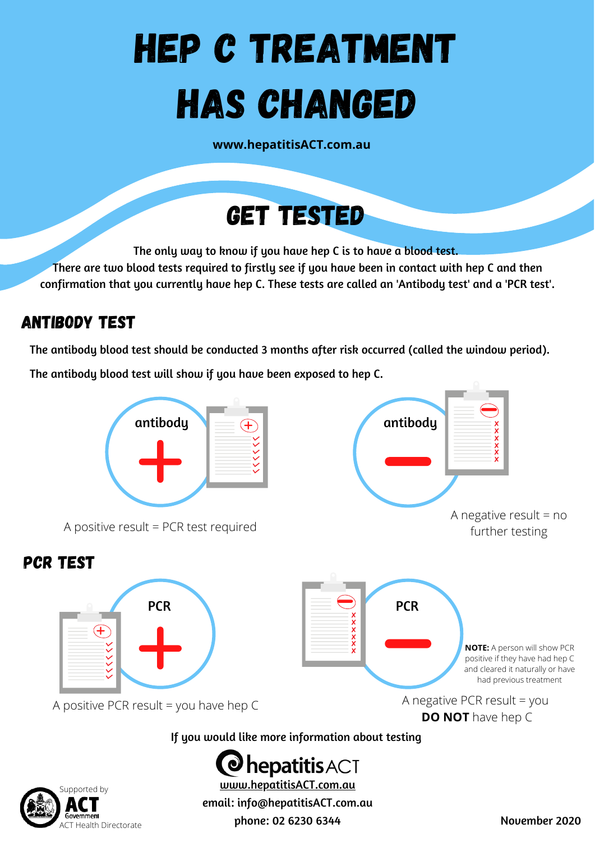# HEP C TREATMENT HAS CHANGED

**www.hepatitisACT.com.au**



The only way to know if you have hep C is to have a blood test.

There are two blood tests required to firstly see if you have been in contact with hep C and then confirmation that you currently have hep C. These tests are called an 'Antibody test' and a 'PCR test'.

### Antibody Test

ACT Health Directorate

The antibody blood test should be conducted 3 months after risk occurred (called the window period).

The antibody blood test will show if you have been exposed to hep C.



phone: 02 6230 6344 November 2020